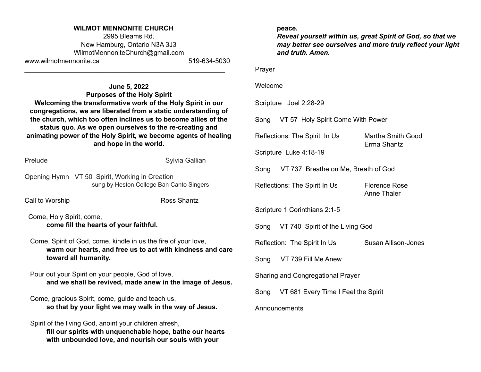#### **WILMOT MENNONITE CHURCH**

2995 Bleams Rd. New Hamburg, Ontario N3A 3J3 [WilmotMennoniteChurch@gmail.com](mailto:WilmotMennoniteChurch@gmail.com) www.wilmotmennonite.ca 519-634-5030

\_\_\_\_\_\_\_\_\_\_\_\_\_\_\_\_\_\_\_\_\_\_\_\_\_\_\_\_\_\_\_\_\_\_\_\_\_\_\_\_\_\_\_\_\_\_\_\_\_\_\_\_\_\_

**June 5, 2022 Purposes of the Holy Spirit Welcoming the transformative work of the Holy Spirit in our congregations, we are liberated from a static understanding of the church, which too often inclines us to become allies of the status quo. As we open ourselves to the re-creating and animating power of the Holy Spirit, we become agents of healing and hope in the world.**

Prelude Sylvia Gallian

Opening Hymn VT 50 Spirit, Working in Creation sung by Heston College Ban Canto Singers

Call to Worship **Ross** Shantz

Come, Holy Spirit, come, **come fill the hearts of your faithful.**

Come, Spirit of God, come, kindle in us the fire of your love, **warm our hearts, and free us to act with kindness and care toward all humanity.**

Pour out your Spirit on your people, God of love, **and we shall be revived, made anew in the image of Jesus.**

Come, gracious Spirit, come, guide and teach us, **so that by your light we may walk in the way of Jesus.**

Spirit of the living God, anoint your children afresh, **fill our spirits with unquenchable hope, bathe our hearts with unbounded love, and nourish our souls with your**

#### **peace.**

*Reveal yourself within us, great Spirit of God, so that we may better see ourselves and more truly reflect your light and truth. Amen.*

Prayer

#### Welcome

Scripture Joel 2:28-29

Song VT 57 Holy Spirit Come With Power

Reflections: The Spirit In Us Martha Smith Good

Erma Shantz

Scripture Luke 4:18-19

Song VT 737 Breathe on Me, Breath of God

Reflections: The Spirit In Us Florence Rose

Anne Thaler

Scripture 1 Corinthians 2:1-5

Song VT 740 Spirit of the Living God

Reflection: The Spirit In Us Susan Allison-Jones

Song VT 739 Fill Me Anew

Sharing and Congregational Prayer

Song VT 681 Every Time I Feel the Spirit

#### Announcements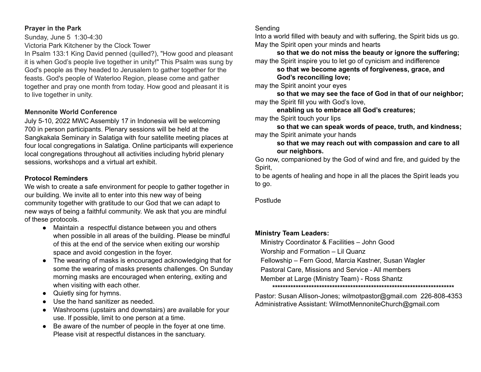### **Prayer in the Park**

Sunday, June 5 1:30-4:30 Victoria Park Kitchener by the Clock Tower

In Psalm 133:1 King David penned (quilled?), "How good and pleasant it is when God's people live together in unity!" This Psalm was sung by God's people as they headed to Jerusalem to gather together for the feasts. God's people of Waterloo Region, please come and gather together and pray one month from today. How good and pleasant it is to live together in unity.

### **Mennonite World Conference**

July 5-10, 2022 MWC Assembly 17 in Indonesia will be welcoming 700 in person participants. Plenary sessions will be held at the Sangkakala Seminary in Salatiga with four satellite meeting places at four local congregations in Salatiga. Online participants will experience local congregations throughout all activities including hybrid plenary sessions, workshops and a virtual art exhibit.

## **Protocol Reminders**

We wish to create a safe environment for people to gather together in our building. We invite all to enter into this new way of being community together with gratitude to our God that we can adapt to new ways of being a faithful community. We ask that you are mindful of these protocols.

- Maintain a respectful distance between you and others when possible in all areas of the building. Please be mindful of this at the end of the service when exiting our worship space and avoid congestion in the foyer.
- The wearing of masks is encouraged acknowledging that for some the wearing of masks presents challenges. On Sunday morning masks are encouraged when entering, exiting and when visiting with each other.
- Quietly sing for hymns.
- Use the hand sanitizer as needed.
- Washrooms (upstairs and downstairs) are available for your use. If possible, limit to one person at a time.
- Be aware of the number of people in the foyer at one time. Please visit at respectful distances in the sanctuary.

## Sending

Into a world filled with beauty and with suffering, the Spirit bids us go. May the Spirit open your minds and hearts

**so that we do not miss the beauty or ignore the suffering;** may the Spirit inspire you to let go of cynicism and indifference

**so that we become agents of forgiveness, grace, and God's reconciling love;**

may the Spirit anoint your eyes

**so that we may see the face of God in that of our neighbor;** may the Spirit fill you with God's love,

**enabling us to embrace all God's creatures;**

may the Spirit touch your lips

**so that we can speak words of peace, truth, and kindness;** may the Spirit animate your hands

**so that we may reach out with compassion and care to all our neighbors.**

Go now, companioned by the God of wind and fire, and guided by the Spirit,

to be agents of healing and hope in all the places the Spirit leads you to go.

Postlude

## **Ministry Team Leaders:**

Ministry Coordinator & Facilities – John Good

Worship and Formation – Lil Quanz

Fellowship – Fern Good, Marcia Kastner, Susan Wagler

Pastoral Care, Missions and Service - All members

Member at Large (Ministry Team) - Ross Shantz

**\*\*\*\*\*\*\*\*\*\*\*\*\*\*\*\*\*\*\*\*\*\*\*\*\*\*\*\*\*\*\*\*\*\*\*\*\*\*\*\*\*\*\*\*\*\*\*\*\*\*\*\*\*\*\*\*\*\*\*\*\*\*\*\*\*\*\*\*\*\***

Pastor: Susan Allison-Jones; [wilmotpastor@gmail.com](mailto:wilmotpastor@gmail.com) 226-808-4353 Administrative Assistant: WilmotMennoniteChurch@gmail.com